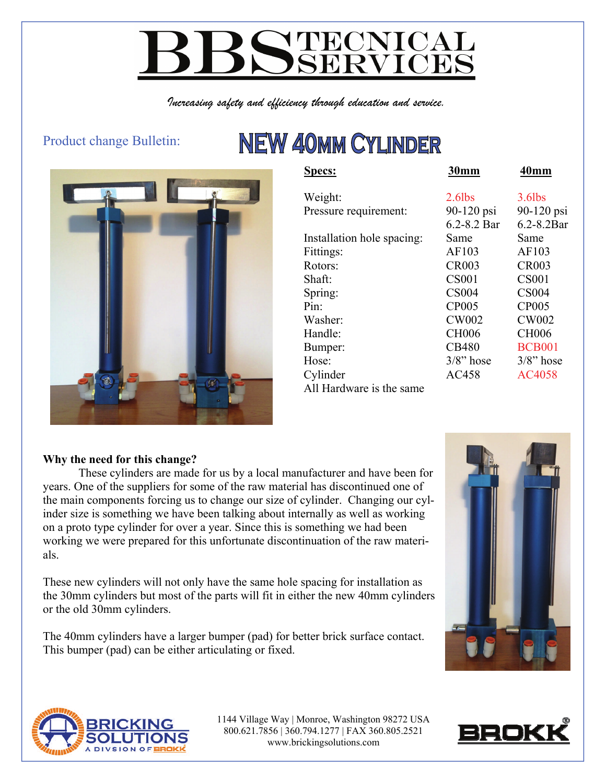# **YTECNICAL<br>SSERVICES**

*Increasing safety and efficiency through education and service.* 

#### Product change Bulletin:

## **NEW 40MM CYLINDER**



| <b>Specs:</b>              | <b>30mm</b>  | 40mm            |
|----------------------------|--------------|-----------------|
| Weight:                    | $2.6$ lbs    | $3.6$ lbs       |
| Pressure requirement:      | 90-120 psi   | 90-120 psi      |
|                            | 6.2-8.2 Bar  | $6.2 - 8.2$ Bar |
| Installation hole spacing: | Same         | Same            |
| Fittings:                  | AF103        | AF103           |
| Rotors:                    | <b>CR003</b> | <b>CR003</b>    |
| Shaft:                     | <b>CS001</b> | <b>CS001</b>    |
| Spring:                    | <b>CS004</b> | <b>CS004</b>    |
| Pin:                       | <b>CP005</b> | <b>CP005</b>    |
| Washer:                    | <b>CW002</b> | <b>CW002</b>    |
| Handle:                    | <b>CH006</b> | <b>CH006</b>    |
| Bumper:                    | <b>CB480</b> | <b>BCB001</b>   |
| Hose:                      | $3/8$ " hose | $3/8$ " hose    |
| Cylinder                   | AC458        | AC4058          |
| All Hardware is the same   |              |                 |

#### **Why the need for this change?**

 These cylinders are made for us by a local manufacturer and have been for years. One of the suppliers for some of the raw material has discontinued one of the main components forcing us to change our size of cylinder. Changing our cylinder size is something we have been talking about internally as well as working on a proto type cylinder for over a year. Since this is something we had been working we were prepared for this unfortunate discontinuation of the raw materials.

These new cylinders will not only have the same hole spacing for installation as the 30mm cylinders but most of the parts will fit in either the new 40mm cylinders or the old 30mm cylinders.

The 40mm cylinders have a larger bumper (pad) for better brick surface contact. This bumper (pad) can be either articulating or fixed.





1144 Village Way | Monroe, Washington 98272 USA 800.621.7856 | 360.794.1277 | FAX 360.805.2521 www.brickingsolutions.com

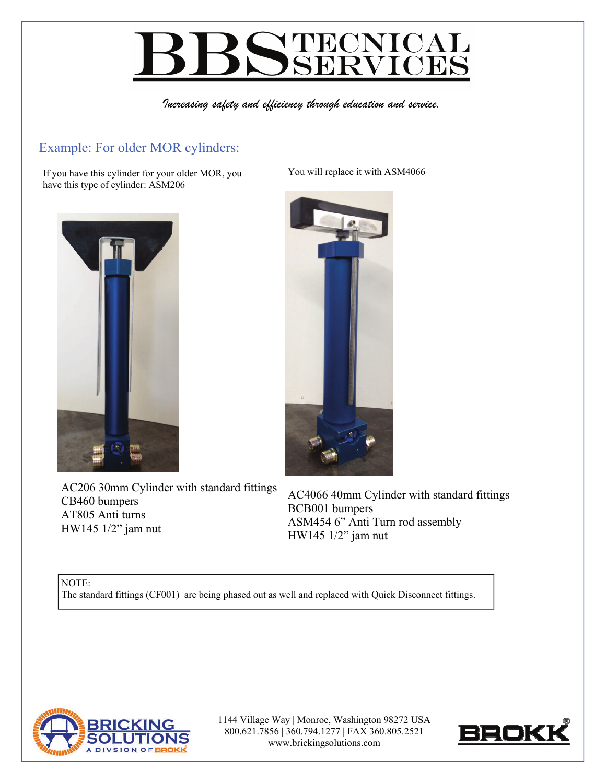## **NTECNICAI**  $\prec$

*Increasing safety and efficiency through education and service.* 

#### Example: For older MOR cylinders:

If you have this cylinder for your older MOR, you have this type of cylinder: ASM206



AC206 30mm Cylinder with standard fittings CB460 bumpers AT805 Anti turns HW145 1/2" jam nut

You will replace it with ASM4066



AC4066 40mm Cylinder with standard fittings BCB001 bumpers ASM454 6" Anti Turn rod assembly HW145 1/2" jam nut

NOTE: The standard fittings (CF001) are being phased out as well and replaced with Quick Disconnect fittings.



1144 Village Way | Monroe, Washington 98272 USA 800.621.7856 | 360.794.1277 | FAX 360.805.2521 www.brickingsolutions.com